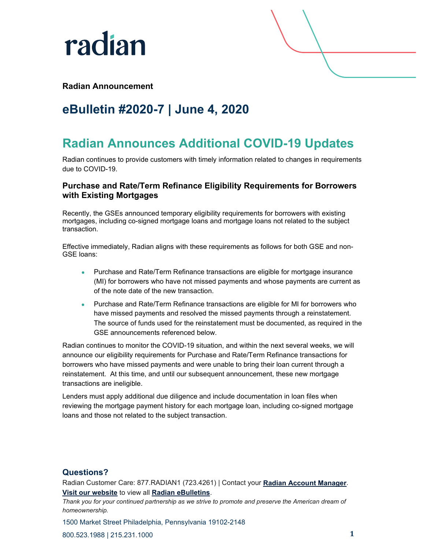

## **Radian Announcement**

# **eBulletin #2020-7 | June 4, 2020**

# **Radian Announces Additional COVID-19 Updates**

Radian continues to provide customers with timely information related to changes in requirements due to COVID-19.

## **Purchase and Rate/Term Refinance Eligibility Requirements for Borrowers with Existing Mortgages**

Recently, the GSEs announced temporary eligibility requirements for borrowers with existing mortgages, including co-signed mortgage loans and mortgage loans not related to the subject transaction.

Effective immediately, Radian aligns with these requirements as follows for both GSE and non-GSE loans:

- Purchase and Rate/Term Refinance transactions are eligible for mortgage insurance (MI) for borrowers who have not missed payments and whose payments are current as of the note date of the new transaction.
- Purchase and Rate/Term Refinance transactions are eligible for MI for borrowers who have missed payments and resolved the missed payments through a reinstatement. The source of funds used for the reinstatement must be documented, as required in the GSE announcements referenced below.

Radian continues to monitor the COVID-19 situation, and within the next several weeks, we will announce our eligibility requirements for Purchase and Rate/Term Refinance transactions for borrowers who have missed payments and were unable to bring their loan current through a reinstatement. At this time, and until our subsequent announcement, these new mortgage transactions are ineligible.

Lenders must apply additional due diligence and include documentation in loan files when reviewing the mortgage payment history for each mortgage loan, including co-signed mortgage loans and those not related to the subject transaction.

### **Questions?**

Radian Customer Care: 877.RADIAN1 (723.4261) | Contact your **[Radian Account Manager](https://radian.com/account-manager-finder)**. **[Visit our website](https://radian.com/)** to view all **[Radian eBulletins](https://radian.com/what-we-do/mortgage-insurance/mi-lender-services/eBulletins)**.

*Thank you for your continued partnership as we strive to promote and preserve the American dream of homeownership.*

1500 Market Street Philadelphia, Pennsylvania 19102-2148

800.523.1988 | 215.231.1000 **1**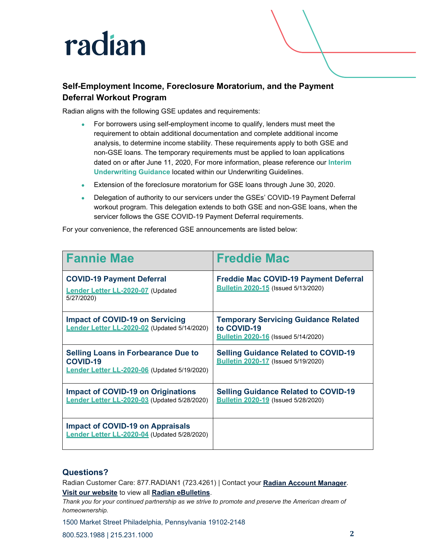# radian

# **Self-Employment Income, Foreclosure Moratorium, and the Payment Deferral Workout Program**

Radian aligns with the following GSE updates and requirements:

- For borrowers using self-employment income to qualify, lenders must meet the requirement to obtain additional documentation and complete additional income analysis, to determine income stability. These requirements apply to both GSE and non-GSE loans. The temporary requirements must be applied to loan applications dated on or after June 11, 2020, For more information, please reference our **[Interim](https://radian.com/-/media/Files/Mortgage-Insurance/Rates-and-Guidelines/Current-Guidelines/Eligibility-Matrices-and-Underwriting-Guidelines-04-14-20-FINAL.pdf)  [Underwriting Guidance](https://radian.com/-/media/Files/Mortgage-Insurance/Rates-and-Guidelines/Current-Guidelines/Eligibility-Matrices-and-Underwriting-Guidelines-04-14-20-FINAL.pdf)** located within our Underwriting Guidelines.
- Extension of the foreclosure moratorium for GSE loans through June 30, 2020.
- Delegation of authority to our servicers under the GSEs' COVID-19 Payment Deferral workout program. This delegation extends to both GSE and non-GSE loans, when the servicer follows the GSE COVID-19 Payment Deferral requirements.

For your convenience, the referenced GSE announcements are listed below:

| <b>Fannie Mae</b>                                                                                             | <b>Freddie Mac</b>                                                                                       |
|---------------------------------------------------------------------------------------------------------------|----------------------------------------------------------------------------------------------------------|
| <b>COVID-19 Payment Deferral</b><br><b>Lender Letter LL-2020-07 (Updated</b><br>5/27/2020)                    | <b>Freddie Mac COVID-19 Payment Deferral</b><br><b>Bulletin 2020-15 (Issued 5/13/2020)</b>               |
| <b>Impact of COVID-19 on Servicing</b><br>Lender Letter LL-2020-02 (Updated 5/14/2020)                        | <b>Temporary Servicing Guidance Related</b><br>to COVID-19<br><b>Bulletin 2020-16 (Issued 5/14/2020)</b> |
| <b>Selling Loans in Forbearance Due to</b><br><b>COVID-19</b><br>Lender Letter LL-2020-06 (Updated 5/19/2020) | <b>Selling Guidance Related to COVID-19</b><br><b>Bulletin 2020-17 (Issued 5/19/2020)</b>                |
| <b>Impact of COVID-19 on Originations</b><br>Lender Letter LL-2020-03 (Updated 5/28/2020)                     | <b>Selling Guidance Related to COVID-19</b><br><b>Bulletin 2020-19</b> (Issued 5/28/2020)                |
| <b>Impact of COVID-19 on Appraisals</b><br>Lender Letter LL-2020-04 (Updated 5/28/2020)                       |                                                                                                          |

#### **Questions?**

Radian Customer Care: 877.RADIAN1 (723.4261) | Contact your **[Radian Account Manager](https://radian.com/account-manager-finder)**. **[Visit our website](https://radian.com/)** to view all **[Radian eBulletins](https://radian.com/what-we-do/mortgage-insurance/mi-lender-services/eBulletins)**.

*Thank you for your continued partnership as we strive to promote and preserve the American dream of homeownership.*

1500 Market Street Philadelphia, Pennsylvania 19102-2148

800.523.1988 | 215.231.1000 **2**